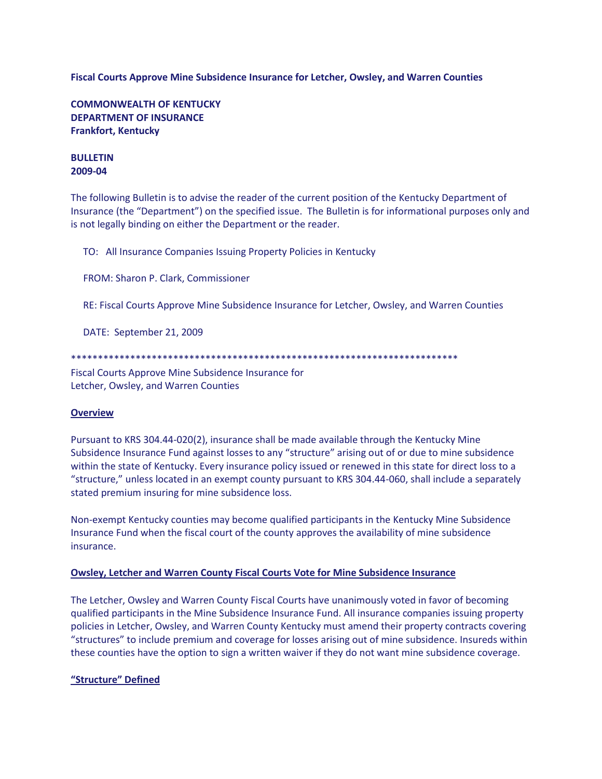### **Fiscal Courts Approve Mine Subsidence Insurance for Letcher, Owsley, and Warren Counties**

**COMMONWEALTH OF KENTUCKY DEPARTMENT OF INSURANCE Frankfort, Kentucky**

#### **BULLETIN 2009-04**

The following Bulletin is to advise the reader of the current position of the Kentucky Department of Insurance (the "Department") on the specified issue. The Bulletin is for informational purposes only and is not legally binding on either the Department or the reader.

TO: All Insurance Companies Issuing Property Policies in Kentucky

FROM: Sharon P. Clark, Commissioner

RE: Fiscal Courts Approve Mine Subsidence Insurance for Letcher, Owsley, and Warren Counties

DATE: September 21, 2009

\*\*\*\*\*\*\*\*\*\*\*\*\*\*\*\*\*\*\*\*\*\*\*\*\*\*\*\*\*\*\*\*\*\*\*\*\*\*\*\*\*\*\*\*\*\*\*\*\*\*\*\*\*\*\*\*\*\*\*\*\*\*\*\*\*\*\*\*\*\*\*\*

Fiscal Courts Approve Mine Subsidence Insurance for Letcher, Owsley, and Warren Counties

# **Overview**

Pursuant to KRS 304.44-020(2), insurance shall be made available through the Kentucky Mine Subsidence Insurance Fund against losses to any "structure" arising out of or due to mine subsidence within the state of Kentucky. Every insurance policy issued or renewed in this state for direct loss to a "structure," unless located in an exempt county pursuant to KRS 304.44-060, shall include a separately stated premium insuring for mine subsidence loss.

Non-exempt Kentucky counties may become qualified participants in the Kentucky Mine Subsidence Insurance Fund when the fiscal court of the county approves the availability of mine subsidence insurance.

#### **Owsley, Letcher and Warren County Fiscal Courts Vote for Mine Subsidence Insurance**

The Letcher, Owsley and Warren County Fiscal Courts have unanimously voted in favor of becoming qualified participants in the Mine Subsidence Insurance Fund. All insurance companies issuing property policies in Letcher, Owsley, and Warren County Kentucky must amend their property contracts covering "structures" to include premium and coverage for losses arising out of mine subsidence. Insureds within these counties have the option to sign a written waiver if they do not want mine subsidence coverage.

# **"Structure" Defined**